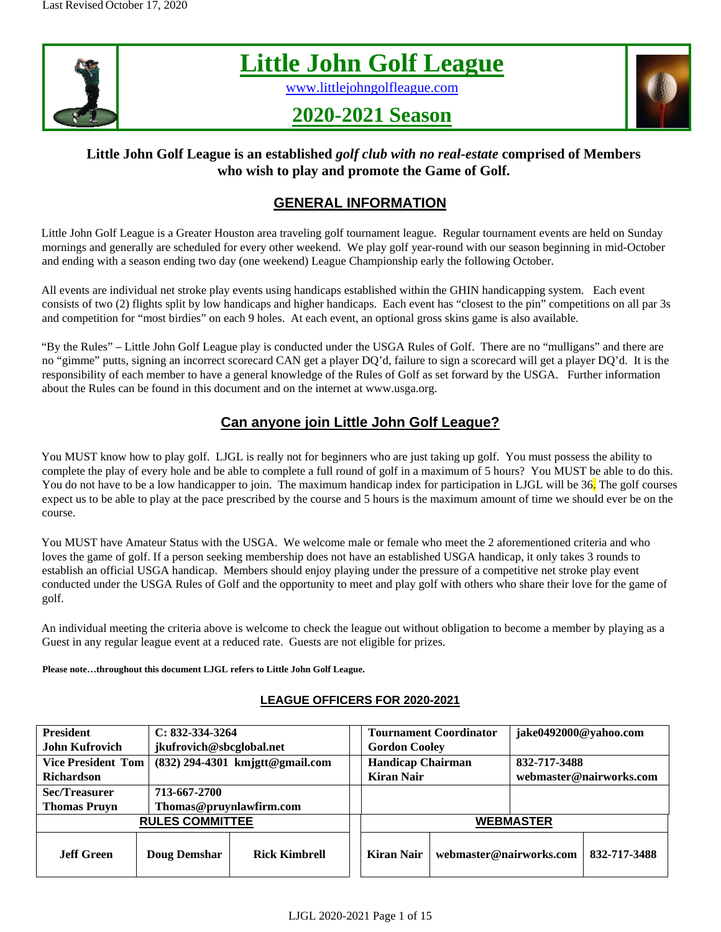

# **Little John Golf League**

[www.littlejohngolfleague.com](http://www.littlejohngolfleague.com/)

## **2020-2021 Season**



## **Little John Golf League is an established** *golf club with no real-estate* **comprised of Members who wish to play and promote the Game of Golf.**

## **GENERAL INFORMATION**

Little John Golf League is a Greater Houston area traveling golf tournament league. Regular tournament events are held on Sunday mornings and generally are scheduled for every other weekend. We play golf year-round with our season beginning in mid-October and ending with a season ending two day (one weekend) League Championship early the following October.

All events are individual net stroke play events using handicaps established within the GHIN handicapping system. Each event consists of two (2) flights split by low handicaps and higher handicaps. Each event has "closest to the pin" competitions on all par 3s and competition for "most birdies" on each 9 holes. At each event, an optional gross skins game is also available.

"By the Rules" – Little John Golf League play is conducted under the USGA Rules of Golf. There are no "mulligans" and there are no "gimme" putts, signing an incorrect scorecard CAN get a player DQ'd, failure to sign a scorecard will get a player DQ'd. It is the responsibility of each member to have a general knowledge of the Rules of Golf as set forward by the USGA. Further information about the Rules can be found in this document and on the internet at www.usga.org.

## **Can anyone join Little John Golf League?**

You MUST know how to play golf. LJGL is really not for beginners who are just taking up golf. You must possess the ability to complete the play of every hole and be able to complete a full round of golf in a maximum of 5 hours? You MUST be able to do this. You do not have to be a low handicapper to join. The maximum handicap index for participation in LJGL will be 36. The golf courses expect us to be able to play at the pace prescribed by the course and 5 hours is the maximum amount of time we should ever be on the course.

You MUST have Amateur Status with the USGA. We welcome male or female who meet the 2 aforementioned criteria and who loves the game of golf. If a person seeking membership does not have an established USGA handicap, it only takes 3 rounds to establish an official USGA handicap. Members should enjoy playing under the pressure of a competitive net stroke play event conducted under the USGA Rules of Golf and the opportunity to meet and play golf with others who share their love for the game of golf.

An individual meeting the criteria above is welcome to check the league out without obligation to become a member by playing as a Guest in any regular league event at a reduced rate. Guests are not eligible for prizes.

**Please note…throughout this document LJGL refers to Little John Golf League.** 

## **LEAGUE OFFICERS FOR 2020-2021**

| <b>President</b>          | $C: 832-334-3264$        |                                   |                          | <b>Tournament Coordinator</b> | jake0492000@yahoo.com   |              |  |
|---------------------------|--------------------------|-----------------------------------|--------------------------|-------------------------------|-------------------------|--------------|--|
| <b>John Kufrovich</b>     | jkufrovich@sbcglobal.net |                                   | <b>Gordon Cooley</b>     |                               |                         |              |  |
| <b>Vice President Tom</b> |                          | $(832)$ 294-4301 kmjgtt@gmail.com | <b>Handicap Chairman</b> |                               | 832-717-3488            |              |  |
| <b>Richardson</b>         |                          |                                   | <b>Kiran Nair</b>        |                               | webmaster@nairworks.com |              |  |
| Sec/Treasurer             | 713-667-2700             |                                   |                          |                               |                         |              |  |
| <b>Thomas Pruvn</b>       | Thomas@pruynlawfirm.com  |                                   |                          |                               |                         |              |  |
| <b>RULES COMMITTEE</b>    | <b>WEBMASTER</b>         |                                   |                          |                               |                         |              |  |
| Jeff Green                | <b>Doug Demshar</b>      | <b>Rick Kimbrell</b>              | Kiran Nair               | webmaster@nairworks.com       |                         | 832-717-3488 |  |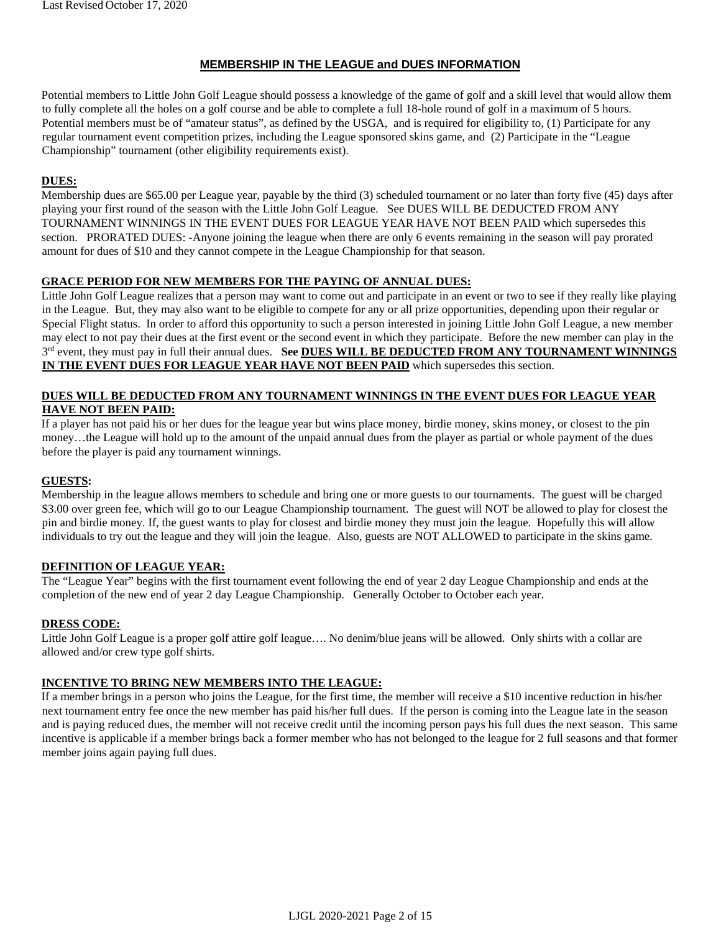#### **MEMBERSHIP IN THE LEAGUE and DUES INFORMATION**

Potential members to Little John Golf League should possess a knowledge of the game of golf and a skill level that would allow them to fully complete all the holes on a golf course and be able to complete a full 18-hole round of golf in a maximum of 5 hours. Potential members must be of "amateur status", as defined by the USGA, and is required for eligibility to, (1) Participate for any regular tournament event competition prizes, including the League sponsored skins game, and (2) Participate in the "League Championship" tournament (other eligibility requirements exist).

#### **DUES:**

Membership dues are \$65.00 per League year, payable by the third (3) scheduled tournament or no later than forty five (45) days after playing your first round of the season with the Little John Golf League. See DUES WILL BE DEDUCTED FROM ANY TOURNAMENT WINNINGS IN THE EVENT DUES FOR LEAGUE YEAR HAVE NOT BEEN PAID which supersedes this section. PRORATED DUES: -Anyone joining the league when there are only 6 events remaining in the season will pay prorated amount for dues of \$10 and they cannot compete in the League Championship for that season.

#### **GRACE PERIOD FOR NEW MEMBERS FOR THE PAYING OF ANNUAL DUES:**

Little John Golf League realizes that a person may want to come out and participate in an event or two to see if they really like playing in the League. But, they may also want to be eligible to compete for any or all prize opportunities, depending upon their regular or Special Flight status. In order to afford this opportunity to such a person interested in joining Little John Golf League, a new member may elect to not pay their dues at the first event or the second event in which they participate. Before the new member can play in the 3<sup>rd</sup> event, they must pay in full their annual dues. See DUES WILL BE DEDUCTED FROM ANY TOURNAMENT WINNINGS **IN THE EVENT DUES FOR LEAGUE YEAR HAVE NOT BEEN PAID** which supersedes this section.

#### **DUES WILL BE DEDUCTED FROM ANY TOURNAMENT WINNINGS IN THE EVENT DUES FOR LEAGUE YEAR HAVE NOT BEEN PAID:**

If a player has not paid his or her dues for the league year but wins place money, birdie money, skins money, or closest to the pin money…the League will hold up to the amount of the unpaid annual dues from the player as partial or whole payment of the dues before the player is paid any tournament winnings.

#### **GUESTS:**

Membership in the league allows members to schedule and bring one or more guests to our tournaments. The guest will be charged \$3.00 over green fee, which will go to our League Championship tournament. The guest will NOT be allowed to play for closest the pin and birdie money. If, the guest wants to play for closest and birdie money they must join the league. Hopefully this will allow individuals to try out the league and they will join the league. Also, guests are NOT ALLOWED to participate in the skins game.

#### **DEFINITION OF LEAGUE YEAR:**

The "League Year" begins with the first tournament event following the end of year 2 day League Championship and ends at the completion of the new end of year 2 day League Championship. Generally October to October each year.

#### **DRESS CODE:**

Little John Golf League is a proper golf attire golf league…. No denim/blue jeans will be allowed. Only shirts with a collar are allowed and/or crew type golf shirts.

#### **INCENTIVE TO BRING NEW MEMBERS INTO THE LEAGUE:**

If a member brings in a person who joins the League, for the first time, the member will receive a \$10 incentive reduction in his/her next tournament entry fee once the new member has paid his/her full dues. If the person is coming into the League late in the season and is paying reduced dues, the member will not receive credit until the incoming person pays his full dues the next season. This same incentive is applicable if a member brings back a former member who has not belonged to the league for 2 full seasons and that former member joins again paying full dues.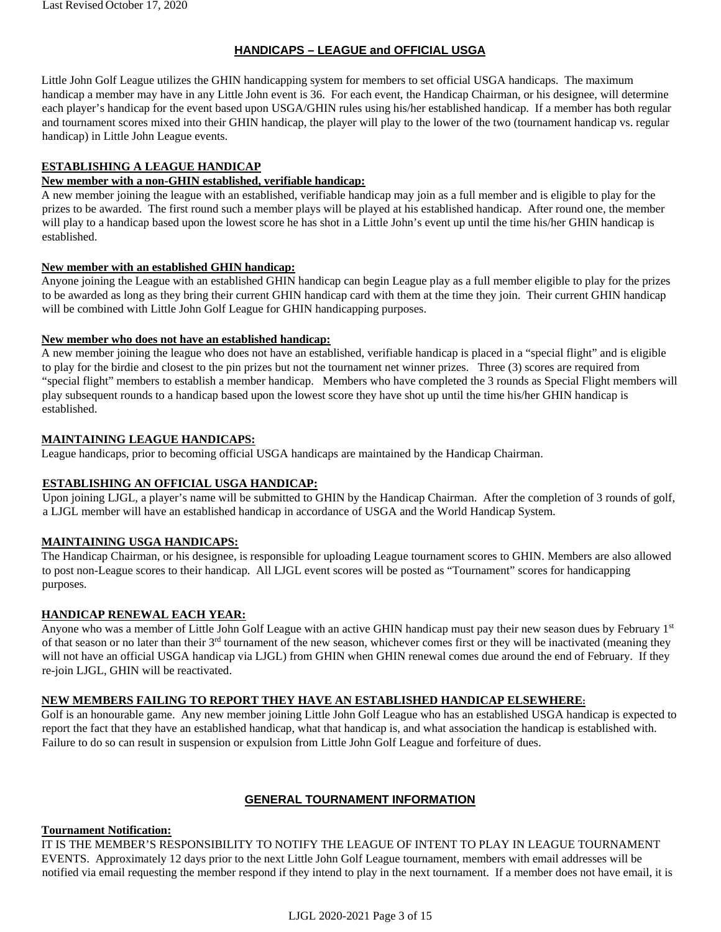#### **HANDICAPS – LEAGUE and OFFICIAL USGA**

Little John Golf League utilizes the GHIN handicapping system for members to set official USGA handicaps. The maximum handicap a member may have in any Little John event is 36. For each event, the Handicap Chairman, or his designee, will determine each player's handicap for the event based upon USGA/GHIN rules using his/her established handicap. If a member has both regular and tournament scores mixed into their GHIN handicap, the player will play to the lower of the two (tournament handicap vs. regular handicap) in Little John League events.

#### **ESTABLISHING A LEAGUE HANDICAP**

#### **New member with a non-GHIN established, verifiable handicap:**

A new member joining the league with an established, verifiable handicap may join as a full member and is eligible to play for the prizes to be awarded. The first round such a member plays will be played at his established handicap. After round one, the member will play to a handicap based upon the lowest score he has shot in a Little John's event up until the time his/her GHIN handicap is established.

#### **New member with an established GHIN handicap:**

Anyone joining the League with an established GHIN handicap can begin League play as a full member eligible to play for the prizes to be awarded as long as they bring their current GHIN handicap card with them at the time they join. Their current GHIN handicap will be combined with Little John Golf League for GHIN handicapping purposes.

#### **New member who does not have an established handicap:**

A new member joining the league who does not have an established, verifiable handicap is placed in a "special flight" and is eligible to play for the birdie and closest to the pin prizes but not the tournament net winner prizes. Three (3) scores are required from "special flight" members to establish a member handicap. Members who have completed the 3 rounds as Special Flight members will play subsequent rounds to a handicap based upon the lowest score they have shot up until the time his/her GHIN handicap is established.

#### **MAINTAINING LEAGUE HANDICAPS:**

League handicaps, prior to becoming official USGA handicaps are maintained by the Handicap Chairman.

#### **ESTABLISHING AN OFFICIAL USGA HANDICAP:**

Upon joining LJGL, a player's name will be submitted to GHIN by the Handicap Chairman. After the completion of 3 rounds of golf, a LJGL member will have an established handicap in accordance of USGA and the World Handicap System.

#### **MAINTAINING USGA HANDICAPS:**

The Handicap Chairman, or his designee, is responsible for uploading League tournament scores to GHIN. Members are also allowed to post non-League scores to their handicap. All LJGL event scores will be posted as "Tournament" scores for handicapping purposes.

#### **HANDICAP RENEWAL EACH YEAR:**

Anyone who was a member of Little John Golf League with an active GHIN handicap must pay their new season dues by February 1st of that season or no later than their 3<sup>rd</sup> tournament of the new season, whichever comes first or they will be inactivated (meaning they will not have an official USGA handicap via LJGL) from GHIN when GHIN renewal comes due around the end of February. If they re-join LJGL, GHIN will be reactivated.

#### **NEW MEMBERS FAILING TO REPORT THEY HAVE AN ESTABLISHED HANDICAP ELSEWHERE:**

Golf is an honourable game. Any new member joining Little John Golf League who has an established USGA handicap is expected to report the fact that they have an established handicap, what that handicap is, and what association the handicap is established with. Failure to do so can result in suspension or expulsion from Little John Golf League and forfeiture of dues.

#### **GENERAL TOURNAMENT INFORMATION**

#### **Tournament Notification:**

IT IS THE MEMBER'S RESPONSIBILITY TO NOTIFY THE LEAGUE OF INTENT TO PLAY IN LEAGUE TOURNAMENT EVENTS. Approximately 12 days prior to the next Little John Golf League tournament, members with email addresses will be notified via email requesting the member respond if they intend to play in the next tournament. If a member does not have email, it is

LJGL 2020-2021 Page 3 of 15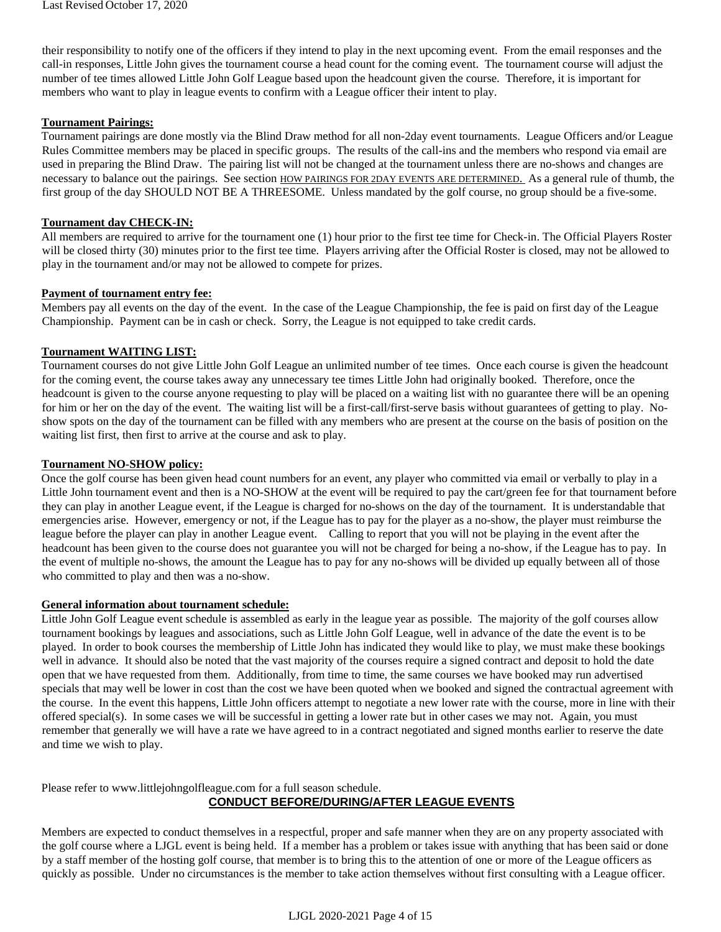their responsibility to notify one of the officers if they intend to play in the next upcoming event. From the email responses and the call-in responses, Little John gives the tournament course a head count for the coming event. The tournament course will adjust the number of tee times allowed Little John Golf League based upon the headcount given the course. Therefore, it is important for members who want to play in league events to confirm with a League officer their intent to play.

#### **Tournament Pairings:**

Tournament pairings are done mostly via the Blind Draw method for all non-2day event tournaments. League Officers and/or League Rules Committee members may be placed in specific groups. The results of the call-ins and the members who respond via email are used in preparing the Blind Draw. The pairing list will not be changed at the tournament unless there are no-shows and changes are necessary to balance out the pairings. See section HOW PAIRINGS FOR 2DAY EVENTS ARE DETERMINED. As a general rule of thumb, the first group of the day SHOULD NOT BE A THREESOME. Unless mandated by the golf course, no group should be a five-some.

#### **Tournament day CHECK-IN:**

All members are required to arrive for the tournament one (1) hour prior to the first tee time for Check-in. The Official Players Roster will be closed thirty (30) minutes prior to the first tee time. Players arriving after the Official Roster is closed, may not be allowed to play in the tournament and/or may not be allowed to compete for prizes.

#### **Payment of tournament entry fee:**

Members pay all events on the day of the event. In the case of the League Championship, the fee is paid on first day of the League Championship. Payment can be in cash or check. Sorry, the League is not equipped to take credit cards.

#### **Tournament WAITING LIST:**

Tournament courses do not give Little John Golf League an unlimited number of tee times. Once each course is given the headcount for the coming event, the course takes away any unnecessary tee times Little John had originally booked. Therefore, once the headcount is given to the course anyone requesting to play will be placed on a waiting list with no guarantee there will be an opening for him or her on the day of the event. The waiting list will be a first-call/first-serve basis without guarantees of getting to play. Noshow spots on the day of the tournament can be filled with any members who are present at the course on the basis of position on the waiting list first, then first to arrive at the course and ask to play.

#### **Tournament NO-SHOW policy:**

Once the golf course has been given head count numbers for an event, any player who committed via email or verbally to play in a Little John tournament event and then is a NO-SHOW at the event will be required to pay the cart/green fee for that tournament before they can play in another League event, if the League is charged for no-shows on the day of the tournament. It is understandable that emergencies arise. However, emergency or not, if the League has to pay for the player as a no-show, the player must reimburse the league before the player can play in another League event. Calling to report that you will not be playing in the event after the headcount has been given to the course does not guarantee you will not be charged for being a no-show, if the League has to pay. In the event of multiple no-shows, the amount the League has to pay for any no-shows will be divided up equally between all of those who committed to play and then was a no-show.

#### **General information about tournament schedule:**

Little John Golf League event schedule is assembled as early in the league year as possible. The majority of the golf courses allow tournament bookings by leagues and associations, such as Little John Golf League, well in advance of the date the event is to be played. In order to book courses the membership of Little John has indicated they would like to play, we must make these bookings well in advance. It should also be noted that the vast majority of the courses require a signed contract and deposit to hold the date open that we have requested from them. Additionally, from time to time, the same courses we have booked may run advertised specials that may well be lower in cost than the cost we have been quoted when we booked and signed the contractual agreement with the course. In the event this happens, Little John officers attempt to negotiate a new lower rate with the course, more in line with their offered special(s). In some cases we will be successful in getting a lower rate but in other cases we may not. Again, you must remember that generally we will have a rate we have agreed to in a contract negotiated and signed months earlier to reserve the date and time we wish to play.

#### Please refer to www.littlejohngolfleague.com for a full season schedule. **CONDUCT BEFORE/DURING/AFTER LEAGUE EVENTS**

Members are expected to conduct themselves in a respectful, proper and safe manner when they are on any property associated with the golf course where a LJGL event is being held. If a member has a problem or takes issue with anything that has been said or done by a staff member of the hosting golf course, that member is to bring this to the attention of one or more of the League officers as quickly as possible. Under no circumstances is the member to take action themselves without first consulting with a League officer.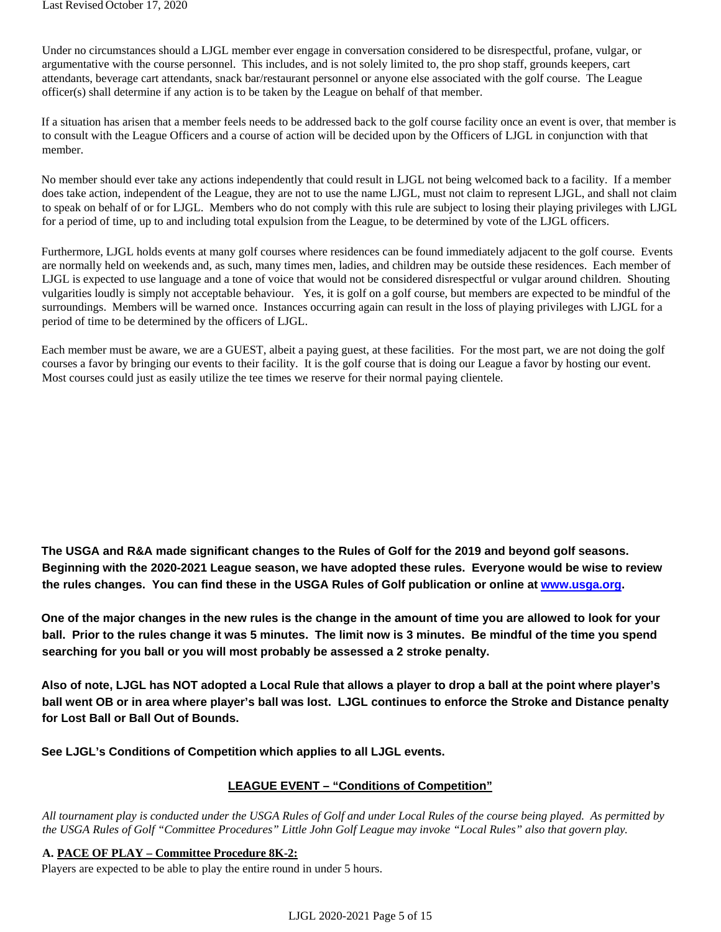Under no circumstances should a LJGL member ever engage in conversation considered to be disrespectful, profane, vulgar, or argumentative with the course personnel. This includes, and is not solely limited to, the pro shop staff, grounds keepers, cart attendants, beverage cart attendants, snack bar/restaurant personnel or anyone else associated with the golf course. The League officer(s) shall determine if any action is to be taken by the League on behalf of that member.

If a situation has arisen that a member feels needs to be addressed back to the golf course facility once an event is over, that member is to consult with the League Officers and a course of action will be decided upon by the Officers of LJGL in conjunction with that member.

No member should ever take any actions independently that could result in LJGL not being welcomed back to a facility. If a member does take action, independent of the League, they are not to use the name LJGL, must not claim to represent LJGL, and shall not claim to speak on behalf of or for LJGL. Members who do not comply with this rule are subject to losing their playing privileges with LJGL for a period of time, up to and including total expulsion from the League, to be determined by vote of the LJGL officers.

Furthermore, LJGL holds events at many golf courses where residences can be found immediately adjacent to the golf course. Events are normally held on weekends and, as such, many times men, ladies, and children may be outside these residences. Each member of LJGL is expected to use language and a tone of voice that would not be considered disrespectful or vulgar around children. Shouting vulgarities loudly is simply not acceptable behaviour. Yes, it is golf on a golf course, but members are expected to be mindful of the surroundings. Members will be warned once. Instances occurring again can result in the loss of playing privileges with LJGL for a period of time to be determined by the officers of LJGL.

Each member must be aware, we are a GUEST, albeit a paying guest, at these facilities. For the most part, we are not doing the golf courses a favor by bringing our events to their facility. It is the golf course that is doing our League a favor by hosting our event. Most courses could just as easily utilize the tee times we reserve for their normal paying clientele.

**The USGA and R&A made significant changes to the Rules of Golf for the 2019 and beyond golf seasons. Beginning with the 2020-2021 League season, we have adopted these rules. Everyone would be wise to review the rules changes. You can find these in the USGA Rules of Golf publication or online at [www.usga.org.](http://www.usga.org/)** 

**One of the major changes in the new rules is the change in the amount of time you are allowed to look for your ball. Prior to the rules change it was 5 minutes. The limit now is 3 minutes. Be mindful of the time you spend searching for you ball or you will most probably be assessed a 2 stroke penalty.** 

**Also of note, LJGL has NOT adopted a Local Rule that allows a player to drop a ball at the point where player's ball went OB or in area where player's ball was lost. LJGL continues to enforce the Stroke and Distance penalty for Lost Ball or Ball Out of Bounds.** 

**See LJGL's Conditions of Competition which applies to all LJGL events.** 

#### **LEAGUE EVENT – "Conditions of Competition"**

*All tournament play is conducted under the USGA Rules of Golf and under Local Rules of the course being played. As permitted by the USGA Rules of Golf "Committee Procedures" Little John Golf League may invoke "Local Rules" also that govern play.* 

#### **A. PACE OF PLAY – Committee Procedure 8K-2:**

Players are expected to be able to play the entire round in under 5 hours.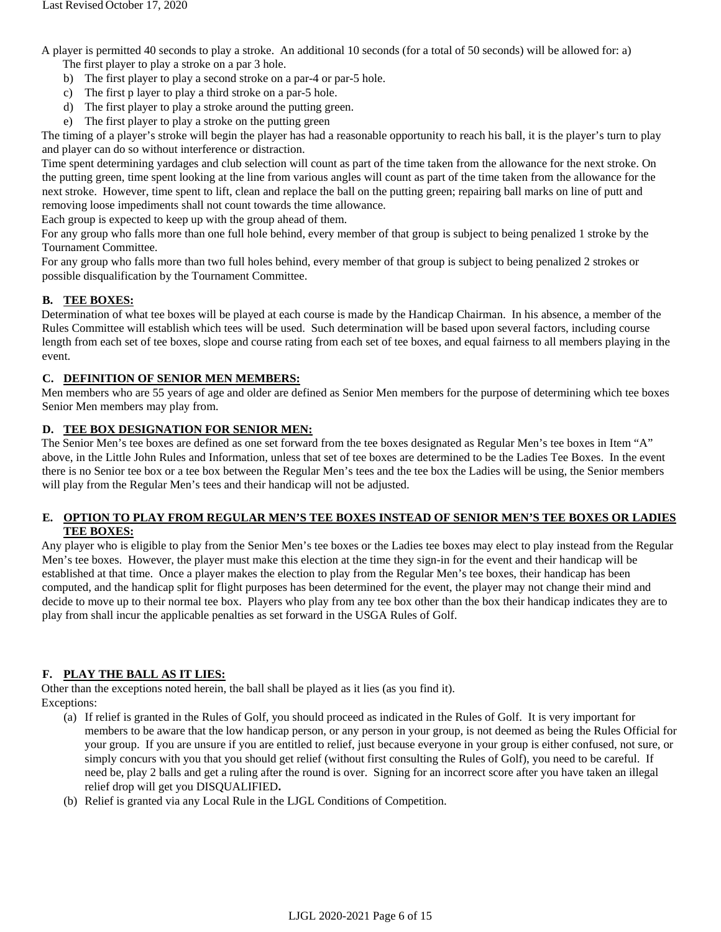A player is permitted 40 seconds to play a stroke. An additional 10 seconds (for a total of 50 seconds) will be allowed for: a)

The first player to play a stroke on a par 3 hole.

- b) The first player to play a second stroke on a par-4 or par-5 hole.
- c) The first p layer to play a third stroke on a par-5 hole.
- d) The first player to play a stroke around the putting green.
- e) The first player to play a stroke on the putting green

The timing of a player's stroke will begin the player has had a reasonable opportunity to reach his ball, it is the player's turn to play and player can do so without interference or distraction.

Time spent determining yardages and club selection will count as part of the time taken from the allowance for the next stroke. On the putting green, time spent looking at the line from various angles will count as part of the time taken from the allowance for the next stroke. However, time spent to lift, clean and replace the ball on the putting green; repairing ball marks on line of putt and removing loose impediments shall not count towards the time allowance.

Each group is expected to keep up with the group ahead of them.

For any group who falls more than one full hole behind, every member of that group is subject to being penalized 1 stroke by the Tournament Committee.

For any group who falls more than two full holes behind, every member of that group is subject to being penalized 2 strokes or possible disqualification by the Tournament Committee.

#### **B. TEE BOXES:**

Determination of what tee boxes will be played at each course is made by the Handicap Chairman. In his absence, a member of the Rules Committee will establish which tees will be used. Such determination will be based upon several factors, including course length from each set of tee boxes, slope and course rating from each set of tee boxes, and equal fairness to all members playing in the event.

#### **C. DEFINITION OF SENIOR MEN MEMBERS:**

Men members who are 55 years of age and older are defined as Senior Men members for the purpose of determining which tee boxes Senior Men members may play from.

#### **D. TEE BOX DESIGNATION FOR SENIOR MEN:**

The Senior Men's tee boxes are defined as one set forward from the tee boxes designated as Regular Men's tee boxes in Item "A" above, in the Little John Rules and Information, unless that set of tee boxes are determined to be the Ladies Tee Boxes. In the event there is no Senior tee box or a tee box between the Regular Men's tees and the tee box the Ladies will be using, the Senior members will play from the Regular Men's tees and their handicap will not be adjusted.

#### **E. OPTION TO PLAY FROM REGULAR MEN'S TEE BOXES INSTEAD OF SENIOR MEN'S TEE BOXES OR LADIES TEE BOXES:**

Any player who is eligible to play from the Senior Men's tee boxes or the Ladies tee boxes may elect to play instead from the Regular Men's tee boxes. However, the player must make this election at the time they sign-in for the event and their handicap will be established at that time. Once a player makes the election to play from the Regular Men's tee boxes, their handicap has been computed, and the handicap split for flight purposes has been determined for the event, the player may not change their mind and decide to move up to their normal tee box. Players who play from any tee box other than the box their handicap indicates they are to play from shall incur the applicable penalties as set forward in the USGA Rules of Golf.

#### **F. PLAY THE BALL AS IT LIES:**

Other than the exceptions noted herein, the ball shall be played as it lies (as you find it). Exceptions:

- (a) If relief is granted in the Rules of Golf, you should proceed as indicated in the Rules of Golf. It is very important for members to be aware that the low handicap person, or any person in your group, is not deemed as being the Rules Official for your group. If you are unsure if you are entitled to relief, just because everyone in your group is either confused, not sure, or simply concurs with you that you should get relief (without first consulting the Rules of Golf), you need to be careful. If need be, play 2 balls and get a ruling after the round is over. Signing for an incorrect score after you have taken an illegal relief drop will get you DISQUALIFIED**.**
- (b) Relief is granted via any Local Rule in the LJGL Conditions of Competition.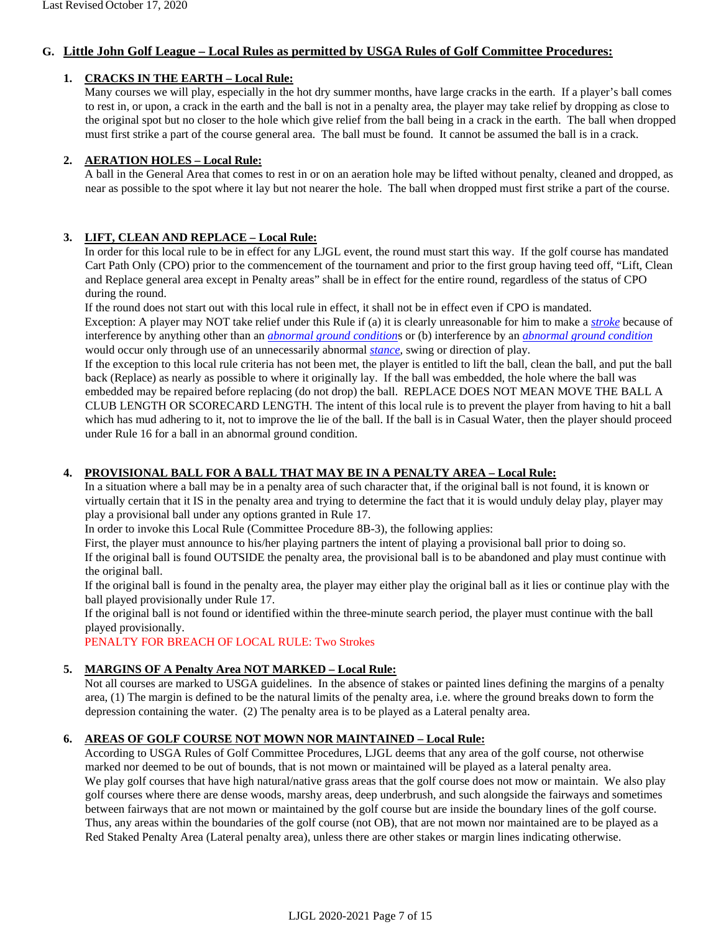#### **G. Little John Golf League – Local Rules as permitted by USGA Rules of Golf Committee Procedures:**

#### **1. CRACKS IN THE EARTH – Local Rule:**

Many courses we will play, especially in the hot dry summer months, have large cracks in the earth. If a player's ball comes to rest in, or upon, a crack in the earth and the ball is not in a penalty area, the player may take relief by dropping as close to the original spot but no closer to the hole which give relief from the ball being in a crack in the earth. The ball when dropped must first strike a part of the course general area. The ball must be found. It cannot be assumed the ball is in a crack.

#### **2. AERATION HOLES – Local Rule:**

A ball in the General Area that comes to rest in or on an aeration hole may be lifted without penalty, cleaned and dropped, as near as possible to the spot where it lay but not nearer the hole. The ball when dropped must first strike a part of the course.

#### **3. LIFT, CLEAN AND REPLACE – Local Rule:**

In order for this local rule to be in effect for any LJGL event, the round must start this way. If the golf course has mandated Cart Path Only (CPO) prior to the commencement of the tournament and prior to the first group having teed off, "Lift, Clean and Replace general area except in Penalty areas" shall be in effect for the entire round, regardless of the status of CPO during the round.

If the round does not start out with this local rule in effect, it shall not be in effect even if CPO is mandated.

Exception: A player may NOT take relief under this Rule if (a) it is clearly unreasonable for him to make a *[stroke](https://urldefense.proofpoint.com/v2/url?u=http-3A__www.usga.org_workarea_linkit.aspx-3Flinkidentifier-3Did-26itemid-3D14253-23Stroke&d=CQMFAg&c=oTZJxWjXA97U5efbDJZGEg&r=-fqJqrI2zFMi1eQvjG8E16wBFStnm2H1uluIl8uPwmM&m=Xuyb_yoy3W_gBvJFaDp7b46AafhyqyZeSFg2sg_ZmcA&s=zMz8SOy5Pdmcy2o7jjjwcRs84RE73HlY4zj4LhdNOmc&e=)* because of interference by anything other than an *[abnormal ground condition](https://urldefense.proofpoint.com/v2/url?u=http-3A__www.usga.org_workarea_linkit.aspx-3Flinkidentifier-3Did-26itemid-3D14253-23AbnormalGroundConditions&d=CQMFAg&c=oTZJxWjXA97U5efbDJZGEg&r=-fqJqrI2zFMi1eQvjG8E16wBFStnm2H1uluIl8uPwmM&m=Xuyb_yoy3W_gBvJFaDp7b46AafhyqyZeSFg2sg_ZmcA&s=iC-UOxzc1SuNr6ItN41bA6Ao-7Dyy9DO10S80CEs1BU&e=)*[s](https://urldefense.proofpoint.com/v2/url?u=http-3A__www.usga.org_workarea_linkit.aspx-3Flinkidentifier-3Did-26itemid-3D14253-23AbnormalGroundConditions&d=CQMFAg&c=oTZJxWjXA97U5efbDJZGEg&r=-fqJqrI2zFMi1eQvjG8E16wBFStnm2H1uluIl8uPwmM&m=Xuyb_yoy3W_gBvJFaDp7b46AafhyqyZeSFg2sg_ZmcA&s=iC-UOxzc1SuNr6ItN41bA6Ao-7Dyy9DO10S80CEs1BU&e=) or (b) interference by an *[abnormal ground condition](https://urldefense.proofpoint.com/v2/url?u=http-3A__www.usga.org_workarea_linkit.aspx-3Flinkidentifier-3Did-26itemid-3D14253-23AbnormalGroundConditions&d=CQMFAg&c=oTZJxWjXA97U5efbDJZGEg&r=-fqJqrI2zFMi1eQvjG8E16wBFStnm2H1uluIl8uPwmM&m=Xuyb_yoy3W_gBvJFaDp7b46AafhyqyZeSFg2sg_ZmcA&s=iC-UOxzc1SuNr6ItN41bA6Ao-7Dyy9DO10S80CEs1BU&e=)* would occur only through use of an unnecessarily abnormal *[stance](https://urldefense.proofpoint.com/v2/url?u=http-3A__www.usga.org_workarea_linkit.aspx-3Flinkidentifier-3Did-26itemid-3D14253-23Stance&d=CQMFAg&c=oTZJxWjXA97U5efbDJZGEg&r=-fqJqrI2zFMi1eQvjG8E16wBFStnm2H1uluIl8uPwmM&m=Xuyb_yoy3W_gBvJFaDp7b46AafhyqyZeSFg2sg_ZmcA&s=hG6ceT8UiL_XOgZHJoCw21vW5LRBu5DGkCDbwkdPRL4&e=)*[,](https://urldefense.proofpoint.com/v2/url?u=http-3A__www.usga.org_workarea_linkit.aspx-3Flinkidentifier-3Did-26itemid-3D14253-23Stance&d=CQMFAg&c=oTZJxWjXA97U5efbDJZGEg&r=-fqJqrI2zFMi1eQvjG8E16wBFStnm2H1uluIl8uPwmM&m=Xuyb_yoy3W_gBvJFaDp7b46AafhyqyZeSFg2sg_ZmcA&s=hG6ceT8UiL_XOgZHJoCw21vW5LRBu5DGkCDbwkdPRL4&e=) swing or direction of play.

If the exception to this local rule criteria has not been met, the player is entitled to lift the ball, clean the ball, and put the ball back (Replace) as nearly as possible to where it originally lay. If the ball was embedded, the hole where the ball was embedded may be repaired before replacing (do not drop) the ball. REPLACE DOES NOT MEAN MOVE THE BALL A CLUB LENGTH OR SCORECARD LENGTH. The intent of this local rule is to prevent the player from having to hit a ball which has mud adhering to it, not to improve the lie of the ball. If the ball is in Casual Water, then the player should proceed under Rule 16 for a ball in an abnormal ground condition.

#### **4. PROVISIONAL BALL FOR A BALL THAT MAY BE IN A PENALTY AREA – Local Rule:**

In a situation where a ball may be in a penalty area of such character that, if the original ball is not found, it is known or virtually certain that it IS in the penalty area and trying to determine the fact that it is would unduly delay play, player may play a provisional ball under any options granted in Rule 17.

In order to invoke this Local Rule (Committee Procedure 8B-3), the following applies:

First, the player must announce to his/her playing partners the intent of playing a provisional ball prior to doing so.

If the original ball is found OUTSIDE the penalty area, the provisional ball is to be abandoned and play must continue with the original ball.

If the original ball is found in the penalty area, the player may either play the original ball as it lies or continue play with the ball played provisionally under Rule 17.

If the original ball is not found or identified within the three-minute search period, the player must continue with the ball played provisionally.

PENALTY FOR BREACH OF LOCAL RULE: Two Strokes

#### **5. MARGINS OF A Penalty Area NOT MARKED – Local Rule:**

Not all courses are marked to USGA guidelines. In the absence of stakes or painted lines defining the margins of a penalty area, (1) The margin is defined to be the natural limits of the penalty area, i.e. where the ground breaks down to form the depression containing the water. (2) The penalty area is to be played as a Lateral penalty area.

#### **6. AREAS OF GOLF COURSE NOT MOWN NOR MAINTAINED – Local Rule:**

According to USGA Rules of Golf Committee Procedures, LJGL deems that any area of the golf course, not otherwise marked nor deemed to be out of bounds, that is not mown or maintained will be played as a lateral penalty area. We play golf courses that have high natural/native grass areas that the golf course does not mow or maintain. We also play golf courses where there are dense woods, marshy areas, deep underbrush, and such alongside the fairways and sometimes between fairways that are not mown or maintained by the golf course but are inside the boundary lines of the golf course. Thus, any areas within the boundaries of the golf course (not OB), that are not mown nor maintained are to be played as a Red Staked Penalty Area (Lateral penalty area), unless there are other stakes or margin lines indicating otherwise.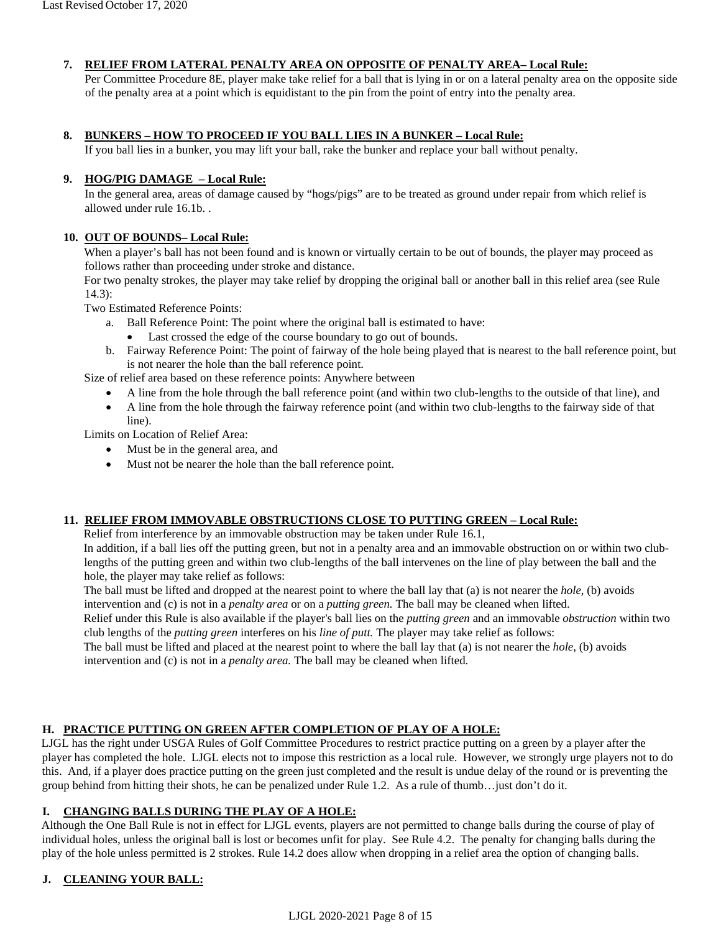#### **7. RELIEF FROM LATERAL PENALTY AREA ON OPPOSITE OF PENALTY AREA– Local Rule:**

Per Committee Procedure 8E, player make take relief for a ball that is lying in or on a lateral penalty area on the opposite side of the penalty area at a point which is equidistant to the pin from the point of entry into the penalty area.

#### **8. BUNKERS – HOW TO PROCEED IF YOU BALL LIES IN A BUNKER – Local Rule:**

If you ball lies in a bunker, you may lift your ball, rake the bunker and replace your ball without penalty.

#### **9. HOG/PIG DAMAGE – Local Rule:**

In the general area, areas of damage caused by "hogs/pigs" are to be treated as ground under repair from which relief is allowed under rule 16.1b. .

#### **10. OUT OF BOUNDS– Local Rule:**

When a player's ball has not been found and is known or virtually certain to be out of bounds, the player may proceed as follows rather than proceeding under stroke and distance.

For two penalty strokes, the player may take relief by dropping the original ball or another ball in this relief area (see Rule 14.3):

Two Estimated Reference Points:

- a. Ball Reference Point: The point where the original ball is estimated to have:
	- Last crossed the edge of the course boundary to go out of bounds.
- b. Fairway Reference Point: The point of fairway of the hole being played that is nearest to the ball reference point, but is not nearer the hole than the ball reference point.

Size of relief area based on these reference points: Anywhere between

- A line from the hole through the ball reference point (and within two club-lengths to the outside of that line), and
- A line from the hole through the fairway reference point (and within two club-lengths to the fairway side of that line).

Limits on Location of Relief Area:

- Must be in the general area, and
- Must not be nearer the hole than the ball reference point.

#### **11. RELIEF FROM IMMOVABLE OBSTRUCTIONS CLOSE TO PUTTING GREEN – Local Rule:**

Relief from interference by an immovable obstruction may be taken under Rule 16.1,

In addition, if a ball lies off the putting green, but not in a penalty area and an immovable obstruction on or within two clublengths of the putting green and within two club-lengths of the ball intervenes on the line of play between the ball and the hole, the player may take relief as follows:

The ball must be lifted and dropped at the nearest point to where the ball lay that (a) is not nearer the *[hole](http://www.usga.org/workarea/linkit.aspx?linkidentifier=id&itemid=14253#Hole)*, (b) avoids intervention and (c) is not in a *[penalty](http://www.usga.org/workarea/linkit.aspx?linkidentifier=id&itemid=14253#Hazards) area* [o](http://www.usga.org/workarea/linkit.aspx?linkidentifier=id&itemid=14253#Hazards)r on a *[putting green.](http://www.usga.org/workarea/linkit.aspx?linkidentifier=id&itemid=14253#PuttingGreen)* The ball may be cleaned when lifted.

Relief under this Rule is also available if the player's ball lies on the *[putting green](http://www.usga.org/workarea/linkit.aspx?linkidentifier=id&itemid=14253#PuttingGreen)* [a](http://www.usga.org/workarea/linkit.aspx?linkidentifier=id&itemid=14253#PuttingGreen)nd an immovable *[obstruction](http://www.usga.org/workarea/linkit.aspx?linkidentifier=id&itemid=14253#Obstructions)* within two club lengths of the *[putting green](http://www.usga.org/workarea/linkit.aspx?linkidentifier=id&itemid=14253#PuttingGreen)* [i](http://www.usga.org/workarea/linkit.aspx?linkidentifier=id&itemid=14253#PuttingGreen)nterferes on his *[line of putt.](http://www.usga.org/workarea/linkit.aspx?linkidentifier=id&itemid=14253#LineofPutt)* [T](http://www.usga.org/workarea/linkit.aspx?linkidentifier=id&itemid=14253#LineofPutt)he player may take relief as follows:

The ball must be lifted and placed at the nearest point to where the ball lay that (a) is not nearer the *[hole](http://www.usga.org/workarea/linkit.aspx?linkidentifier=id&itemid=14253#Hole)*[,](http://www.usga.org/workarea/linkit.aspx?linkidentifier=id&itemid=14253#Hole) (b) avoids intervention and (c) is not in a *[penalty area.](http://www.usga.org/workarea/linkit.aspx?linkidentifier=id&itemid=14253#Hazards)* The ball may be cleaned when lifted.

#### **H. PRACTICE PUTTING ON GREEN AFTER COMPLETION OF PLAY OF A HOLE:**

LJGL has the right under USGA Rules of Golf Committee Procedures to restrict practice putting on a green by a player after the player has completed the hole. LJGL elects not to impose this restriction as a local rule. However, we strongly urge players not to do this. And, if a player does practice putting on the green just completed and the result is undue delay of the round or is preventing the group behind from hitting their shots, he can be penalized under Rule 1.2. As a rule of thumb…just don't do it.

#### **I. CHANGING BALLS DURING THE PLAY OF A HOLE:**

Although the One Ball Rule is not in effect for LJGL events, players are not permitted to change balls during the course of play of individual holes, unless the original ball is lost or becomes unfit for play. See Rule 4.2. The penalty for changing balls during the play of the hole unless permitted is 2 strokes. Rule 14.2 does allow when dropping in a relief area the option of changing balls.

#### **J. CLEANING YOUR BALL:**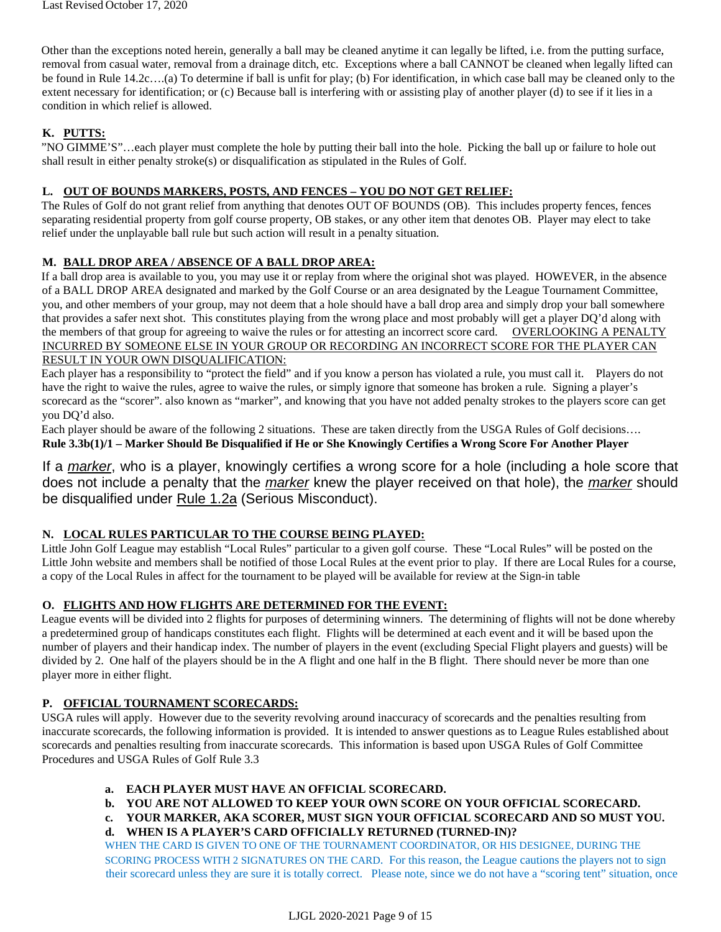Other than the exceptions noted herein, generally a ball may be cleaned anytime it can legally be lifted, i.e. from the putting surface, removal from casual water, removal from a drainage ditch, etc. Exceptions where a ball CANNOT be cleaned when legally lifted can be found in Rule 14.2c….(a) To determine if ball is unfit for play; (b) For identification, in which case ball may be cleaned only to the extent necessary for identification; or (c) Because ball is interfering with or assisting play of another player (d) to see if it lies in a condition in which relief is allowed.

#### **K. PUTTS:**

"NO GIMME'S"…each player must complete the hole by putting their ball into the hole. Picking the ball up or failure to hole out shall result in either penalty stroke(s) or disqualification as stipulated in the Rules of Golf.

#### **L. OUT OF BOUNDS MARKERS, POSTS, AND FENCES – YOU DO NOT GET RELIEF:**

The Rules of Golf do not grant relief from anything that denotes OUT OF BOUNDS (OB). This includes property fences, fences separating residential property from golf course property, OB stakes, or any other item that denotes OB. Player may elect to take relief under the unplayable ball rule but such action will result in a penalty situation.

#### **M. BALL DROP AREA / ABSENCE OF A BALL DROP AREA:**

If a ball drop area is available to you, you may use it or replay from where the original shot was played. HOWEVER, in the absence of a BALL DROP AREA designated and marked by the Golf Course or an area designated by the League Tournament Committee, you, and other members of your group, may not deem that a hole should have a ball drop area and simply drop your ball somewhere that provides a safer next shot. This constitutes playing from the wrong place and most probably will get a player DQ'd along with the members of that group for agreeing to waive the rules or for attesting an incorrect score card. OVERLOOKING A PENALTY INCURRED BY SOMEONE ELSE IN YOUR GROUP OR RECORDING AN INCORRECT SCORE FOR THE PLAYER CAN RESULT IN YOUR OWN DISQUALIFICATION:

Each player has a responsibility to "protect the field" and if you know a person has violated a rule, you must call it. Players do not have the right to waive the rules, agree to waive the rules, or simply ignore that someone has broken a rule. Signing a player's scorecard as the "scorer". also known as "marker", and knowing that you have not added penalty strokes to the players score can get you DQ'd also.

Each player should be aware of the following 2 situations. These are taken directly from the USGA Rules of Golf decisions…. **Rule 3.3b(1)/1 – Marker Should Be Disqualified if He or She Knowingly Certifies a Wrong Score For Another Player** 

If a *[marker](http://www.usga.org/content/usga/home-page/rules/rules-2019/rules-of-golf/definitions.html#marker)*[,](http://www.usga.org/content/usga/home-page/rules/rules-2019/rules-of-golf/definitions.html#marker) who is a player, knowingly certifies a wrong score for a hole (including a hole score that does not include a penalty that the *[marker](http://www.usga.org/content/usga/home-page/rules/rules-2019/rules-of-golf/definitions.html#marker)* knew the player received on that hole), the *[marker](http://www.usga.org/content/usga/home-page/rules/rules-2019/rules-of-golf/definitions.html#marker)* [s](http://www.usga.org/content/usga/home-page/rules/rules-2019/rules-of-golf/definitions.html#marker)hould be disqualified under [Rule 1.2a](http://www.usga.org/content/usga/home-page/rules/rules-2019/rules-of-golf/rule-1.html#Rule%201.2a) (Serious Misconduct).

#### **N. LOCAL RULES PARTICULAR TO THE COURSE BEING PLAYED:**

Little John Golf League may establish "Local Rules" particular to a given golf course. These "Local Rules" will be posted on the Little John website and members shall be notified of those Local Rules at the event prior to play. If there are Local Rules for a course, a copy of the Local Rules in affect for the tournament to be played will be available for review at the Sign-in table

#### **O. FLIGHTS AND HOW FLIGHTS ARE DETERMINED FOR THE EVENT:**

League events will be divided into 2 flights for purposes of determining winners. The determining of flights will not be done whereby a predetermined group of handicaps constitutes each flight. Flights will be determined at each event and it will be based upon the number of players and their handicap index. The number of players in the event (excluding Special Flight players and guests) will be divided by 2. One half of the players should be in the A flight and one half in the B flight. There should never be more than one player more in either flight.

#### **P. OFFICIAL TOURNAMENT SCORECARDS:**

USGA rules will apply. However due to the severity revolving around inaccuracy of scorecards and the penalties resulting from inaccurate scorecards, the following information is provided. It is intended to answer questions as to League Rules established about scorecards and penalties resulting from inaccurate scorecards. This information is based upon USGA Rules of Golf Committee Procedures and USGA Rules of Golf Rule 3.3

#### **a. EACH PLAYER MUST HAVE AN OFFICIAL SCORECARD.**

- **b. YOU ARE NOT ALLOWED TO KEEP YOUR OWN SCORE ON YOUR OFFICIAL SCORECARD.**
- **c. YOUR MARKER, AKA SCORER, MUST SIGN YOUR OFFICIAL SCORECARD AND SO MUST YOU.**
- **d. WHEN IS A PLAYER'S CARD OFFICIALLY RETURNED (TURNED-IN)?**

WHEN THE CARD IS GIVEN TO ONE OF THE TOURNAMENT COORDINATOR, OR HIS DESIGNEE, DURING THE SCORING PROCESS WITH 2 SIGNATURES ON THE CARD. For this reason, the League cautions the players not to sign their scorecard unless they are sure it is totally correct. Please note, since we do not have a "scoring tent" situation, once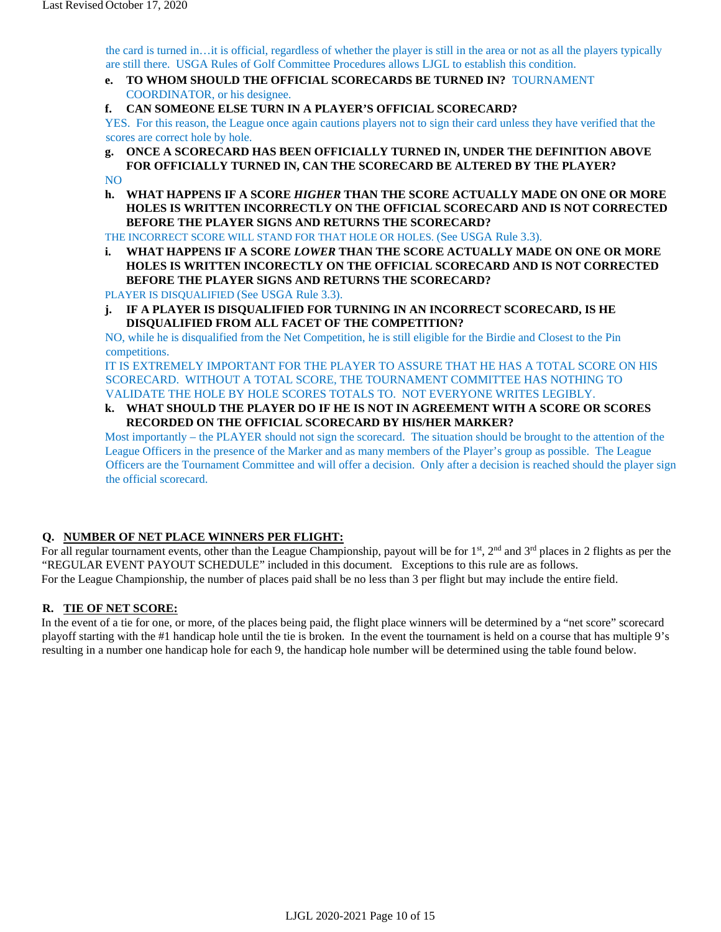the card is turned in…it is official, regardless of whether the player is still in the area or not as all the players typically are still there. USGA Rules of Golf Committee Procedures allows LJGL to establish this condition.

- **e. TO WHOM SHOULD THE OFFICIAL SCORECARDS BE TURNED IN?** TOURNAMENT COORDINATOR, or his designee.
- **f. CAN SOMEONE ELSE TURN IN A PLAYER'S OFFICIAL SCORECARD?**

YES. For this reason, the League once again cautions players not to sign their card unless they have verified that the scores are correct hole by hole.

- **g. ONCE A SCORECARD HAS BEEN OFFICIALLY TURNED IN, UNDER THE DEFINITION ABOVE FOR OFFICIALLY TURNED IN, CAN THE SCORECARD BE ALTERED BY THE PLAYER?**  NO
- **h. WHAT HAPPENS IF A SCORE** *HIGHER* **THAN THE SCORE ACTUALLY MADE ON ONE OR MORE HOLES IS WRITTEN INCORRECTLY ON THE OFFICIAL SCORECARD AND IS NOT CORRECTED BEFORE THE PLAYER SIGNS AND RETURNS THE SCORECARD?**

THE INCORRECT SCORE WILL STAND FOR THAT HOLE OR HOLES. (See USGA Rule 3.3).

**i. WHAT HAPPENS IF A SCORE** *LOWER* **THAN THE SCORE ACTUALLY MADE ON ONE OR MORE HOLES IS WRITTEN INCORECTLY ON THE OFFICIAL SCORECARD AND IS NOT CORRECTED BEFORE THE PLAYER SIGNS AND RETURNS THE SCORECARD?** 

PLAYER IS DISQUALIFIED (See USGA Rule 3.3).

**j. IF A PLAYER IS DISQUALIFIED FOR TURNING IN AN INCORRECT SCORECARD, IS HE DISQUALIFIED FROM ALL FACET OF THE COMPETITION?** 

NO, while he is disqualified from the Net Competition, he is still eligible for the Birdie and Closest to the Pin competitions.

IT IS EXTREMELY IMPORTANT FOR THE PLAYER TO ASSURE THAT HE HAS A TOTAL SCORE ON HIS SCORECARD. WITHOUT A TOTAL SCORE, THE TOURNAMENT COMMITTEE HAS NOTHING TO VALIDATE THE HOLE BY HOLE SCORES TOTALS TO. NOT EVERYONE WRITES LEGIBLY.

**k. WHAT SHOULD THE PLAYER DO IF HE IS NOT IN AGREEMENT WITH A SCORE OR SCORES RECORDED ON THE OFFICIAL SCORECARD BY HIS/HER MARKER?** 

Most importantly – the PLAYER should not sign the scorecard. The situation should be brought to the attention of the League Officers in the presence of the Marker and as many members of the Player's group as possible. The League Officers are the Tournament Committee and will offer a decision. Only after a decision is reached should the player sign the official scorecard.

#### **Q. NUMBER OF NET PLACE WINNERS PER FLIGHT:**

For all regular tournament events, other than the League Championship, payout will be for  $1<sup>st</sup>$ ,  $2<sup>nd</sup>$  and  $3<sup>rd</sup>$  places in 2 flights as per the "REGULAR EVENT PAYOUT SCHEDULE" included in this document. Exceptions to this rule are as follows. For the League Championship, the number of places paid shall be no less than 3 per flight but may include the entire field.

#### **R. TIE OF NET SCORE:**

In the event of a tie for one, or more, of the places being paid, the flight place winners will be determined by a "net score" scorecard playoff starting with the #1 handicap hole until the tie is broken. In the event the tournament is held on a course that has multiple 9's resulting in a number one handicap hole for each 9, the handicap hole number will be determined using the table found below.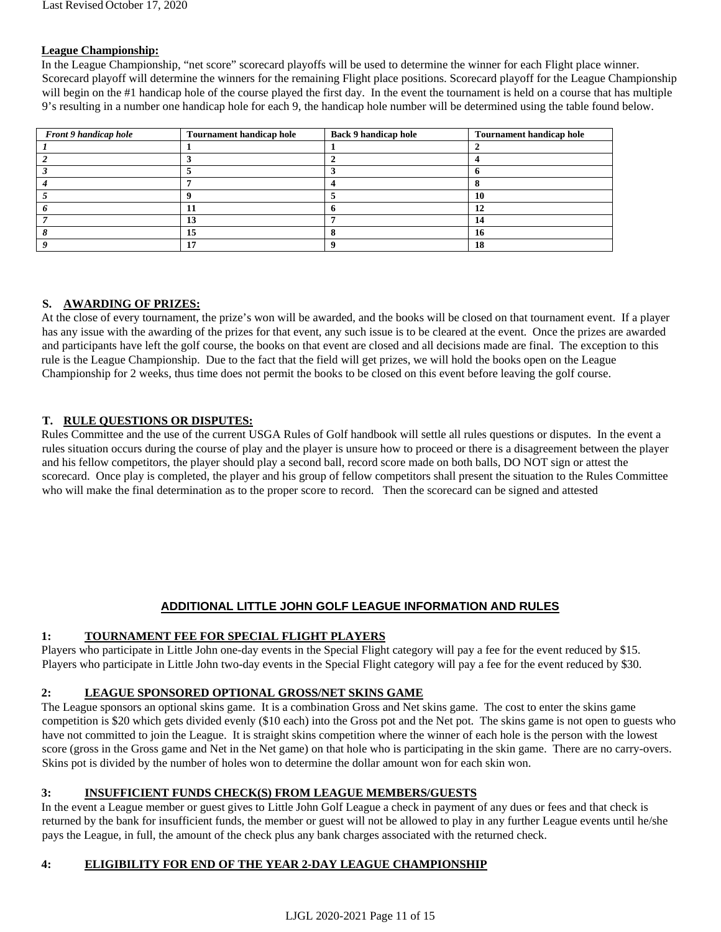#### **League Championship:**

In the League Championship, "net score" scorecard playoffs will be used to determine the winner for each Flight place winner. Scorecard playoff will determine the winners for the remaining Flight place positions. Scorecard playoff for the League Championship will begin on the #1 handicap hole of the course played the first day. In the event the tournament is held on a course that has multiple 9's resulting in a number one handicap hole for each 9, the handicap hole number will be determined using the table found below.

| Front 9 handicap hole | <b>Tournament handicap hole</b> | <b>Back 9 handicap hole</b> | <b>Tournament handicap hole</b> |
|-----------------------|---------------------------------|-----------------------------|---------------------------------|
|                       |                                 |                             |                                 |
|                       |                                 |                             |                                 |
|                       |                                 |                             |                                 |
|                       |                                 |                             |                                 |
|                       |                                 |                             | 10                              |
|                       |                                 |                             | 17                              |
|                       | IJ                              |                             | 14                              |
|                       | 15                              |                             | I٨                              |
|                       |                                 |                             | 18                              |

#### **S. AWARDING OF PRIZES:**

At the close of every tournament, the prize's won will be awarded, and the books will be closed on that tournament event. If a player has any issue with the awarding of the prizes for that event, any such issue is to be cleared at the event. Once the prizes are awarded and participants have left the golf course, the books on that event are closed and all decisions made are final. The exception to this rule is the League Championship. Due to the fact that the field will get prizes, we will hold the books open on the League Championship for 2 weeks, thus time does not permit the books to be closed on this event before leaving the golf course.

#### **T. RULE QUESTIONS OR DISPUTES:**

Rules Committee and the use of the current USGA Rules of Golf handbook will settle all rules questions or disputes. In the event a rules situation occurs during the course of play and the player is unsure how to proceed or there is a disagreement between the player and his fellow competitors, the player should play a second ball, record score made on both balls, DO NOT sign or attest the scorecard. Once play is completed, the player and his group of fellow competitors shall present the situation to the Rules Committee who will make the final determination as to the proper score to record. Then the scorecard can be signed and attested

#### **ADDITIONAL LITTLE JOHN GOLF LEAGUE INFORMATION AND RULES**

#### **1: TOURNAMENT FEE FOR SPECIAL FLIGHT PLAYERS**

Players who participate in Little John one-day events in the Special Flight category will pay a fee for the event reduced by \$15. Players who participate in Little John two-day events in the Special Flight category will pay a fee for the event reduced by \$30.

#### **2: LEAGUE SPONSORED OPTIONAL GROSS/NET SKINS GAME**

The League sponsors an optional skins game. It is a combination Gross and Net skins game. The cost to enter the skins game competition is \$20 which gets divided evenly (\$10 each) into the Gross pot and the Net pot. The skins game is not open to guests who have not committed to join the League. It is straight skins competition where the winner of each hole is the person with the lowest score (gross in the Gross game and Net in the Net game) on that hole who is participating in the skin game. There are no carry-overs. Skins pot is divided by the number of holes won to determine the dollar amount won for each skin won.

#### **3: INSUFFICIENT FUNDS CHECK(S) FROM LEAGUE MEMBERS/GUESTS**

In the event a League member or guest gives to Little John Golf League a check in payment of any dues or fees and that check is returned by the bank for insufficient funds, the member or guest will not be allowed to play in any further League events until he/she pays the League, in full, the amount of the check plus any bank charges associated with the returned check.

#### **4: ELIGIBILITY FOR END OF THE YEAR 2-DAY LEAGUE CHAMPIONSHIP**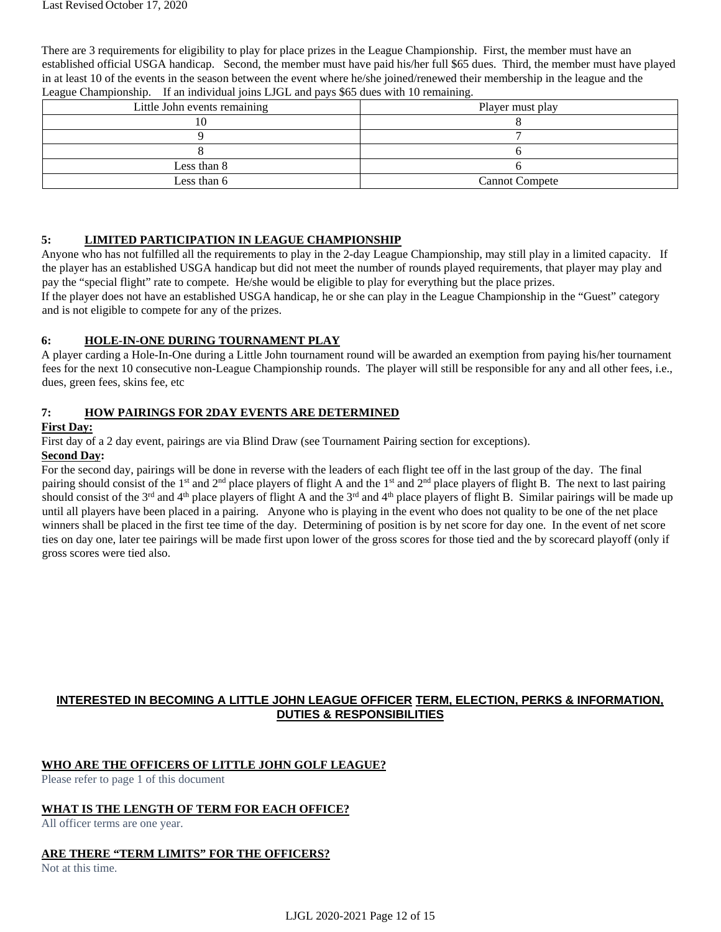There are 3 requirements for eligibility to play for place prizes in the League Championship. First, the member must have an established official USGA handicap. Second, the member must have paid his/her full \$65 dues. Third, the member must have played in at least 10 of the events in the season between the event where he/she joined/renewed their membership in the league and the League Championship. If an individual joins LJGL and pays \$65 dues with 10 remaining.

| Little John events remaining | Player must play      |
|------------------------------|-----------------------|
|                              |                       |
|                              |                       |
|                              |                       |
| Less than 8                  |                       |
| Less than 6                  | <b>Cannot Compete</b> |

#### **5: LIMITED PARTICIPATION IN LEAGUE CHAMPIONSHIP**

Anyone who has not fulfilled all the requirements to play in the 2-day League Championship, may still play in a limited capacity. If the player has an established USGA handicap but did not meet the number of rounds played requirements, that player may play and pay the "special flight" rate to compete. He/she would be eligible to play for everything but the place prizes.

If the player does not have an established USGA handicap, he or she can play in the League Championship in the "Guest" category and is not eligible to compete for any of the prizes.

#### **6: HOLE-IN-ONE DURING TOURNAMENT PLAY**

A player carding a Hole-In-One during a Little John tournament round will be awarded an exemption from paying his/her tournament fees for the next 10 consecutive non-League Championship rounds. The player will still be responsible for any and all other fees, i.e., dues, green fees, skins fee, etc

#### **7: HOW PAIRINGS FOR 2DAY EVENTS ARE DETERMINED**

#### **First Day:**

First day of a 2 day event, pairings are via Blind Draw (see Tournament Pairing section for exceptions).

#### **Second Day:**

For the second day, pairings will be done in reverse with the leaders of each flight tee off in the last group of the day. The final pairing should consist of the 1<sup>st</sup> and 2<sup>nd</sup> place players of flight A and the 1<sup>st</sup> and 2<sup>nd</sup> place players of flight B. The next to last pairing should consist of the  $3^{rd}$  and  $4^{th}$  place players of flight A and the  $3^{rd}$  and  $4^{th}$  place players of flight B. Similar pairings will be made up until all players have been placed in a pairing. Anyone who is playing in the event who does not quality to be one of the net place winners shall be placed in the first tee time of the day. Determining of position is by net score for day one. In the event of net score ties on day one, later tee pairings will be made first upon lower of the gross scores for those tied and the by scorecard playoff (only if gross scores were tied also.

#### **INTERESTED IN BECOMING A LITTLE JOHN LEAGUE OFFICER TERM, ELECTION, PERKS & INFORMATION, DUTIES & RESPONSIBILITIES**

#### **WHO ARE THE OFFICERS OF LITTLE JOHN GOLF LEAGUE?**

Please refer to page 1 of this document

#### **WHAT IS THE LENGTH OF TERM FOR EACH OFFICE?**

All officer terms are one year.

#### **ARE THERE "TERM LIMITS" FOR THE OFFICERS?**

Not at this time.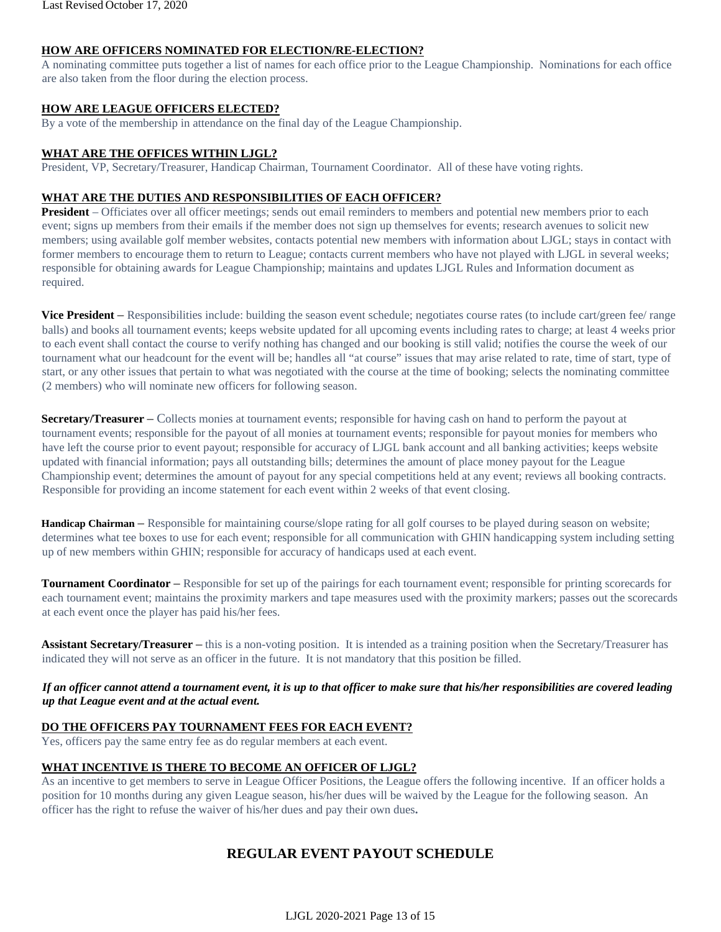#### **HOW ARE OFFICERS NOMINATED FOR ELECTION/RE-ELECTION?**

A nominating committee puts together a list of names for each office prior to the League Championship. Nominations for each office are also taken from the floor during the election process.

#### **HOW ARE LEAGUE OFFICERS ELECTED?**

By a vote of the membership in attendance on the final day of the League Championship.

#### **WHAT ARE THE OFFICES WITHIN LJGL?**

President, VP, Secretary/Treasurer, Handicap Chairman, Tournament Coordinator. All of these have voting rights.

#### **WHAT ARE THE DUTIES AND RESPONSIBILITIES OF EACH OFFICER?**

**President** – Officiates over all officer meetings; sends out email reminders to members and potential new members prior to each event; signs up members from their emails if the member does not sign up themselves for events; research avenues to solicit new members; using available golf member websites, contacts potential new members with information about LJGL; stays in contact with former members to encourage them to return to League; contacts current members who have not played with LJGL in several weeks; responsible for obtaining awards for League Championship; maintains and updates LJGL Rules and Information document as required.

**Vice President** – Responsibilities include: building the season event schedule; negotiates course rates (to include cart/green fee/ range balls) and books all tournament events; keeps website updated for all upcoming events including rates to charge; at least 4 weeks prior to each event shall contact the course to verify nothing has changed and our booking is still valid; notifies the course the week of our tournament what our headcount for the event will be; handles all "at course" issues that may arise related to rate, time of start, type of start, or any other issues that pertain to what was negotiated with the course at the time of booking; selects the nominating committee (2 members) who will nominate new officers for following season.

**Secretary/Treasurer** – Collects monies at tournament events; responsible for having cash on hand to perform the payout at tournament events; responsible for the payout of all monies at tournament events; responsible for payout monies for members who have left the course prior to event payout; responsible for accuracy of LJGL bank account and all banking activities; keeps website updated with financial information; pays all outstanding bills; determines the amount of place money payout for the League Championship event; determines the amount of payout for any special competitions held at any event; reviews all booking contracts. Responsible for providing an income statement for each event within 2 weeks of that event closing.

**Handicap Chairman** – Responsible for maintaining course/slope rating for all golf courses to be played during season on website; determines what tee boxes to use for each event; responsible for all communication with GHIN handicapping system including setting up of new members within GHIN; responsible for accuracy of handicaps used at each event.

**Tournament Coordinator** – Responsible for set up of the pairings for each tournament event; responsible for printing scorecards for each tournament event; maintains the proximity markers and tape measures used with the proximity markers; passes out the scorecards at each event once the player has paid his/her fees.

Assistant Secretary/Treasurer – this is a non-voting position. It is intended as a training position when the Secretary/Treasurer has indicated they will not serve as an officer in the future. It is not mandatory that this position be filled.

#### *If an officer cannot attend a tournament event, it is up to that officer to make sure that his/her responsibilities are covered leading up that League event and at the actual event.*

#### **DO THE OFFICERS PAY TOURNAMENT FEES FOR EACH EVENT?**

Yes, officers pay the same entry fee as do regular members at each event.

#### **WHAT INCENTIVE IS THERE TO BECOME AN OFFICER OF LJGL?**

As an incentive to get members to serve in League Officer Positions, the League offers the following incentive. If an officer holds a position for 10 months during any given League season, his/her dues will be waived by the League for the following season. An officer has the right to refuse the waiver of his/her dues and pay their own dues**.** 

## **REGULAR EVENT PAYOUT SCHEDULE**

LJGL 2020-2021 Page 13 of 15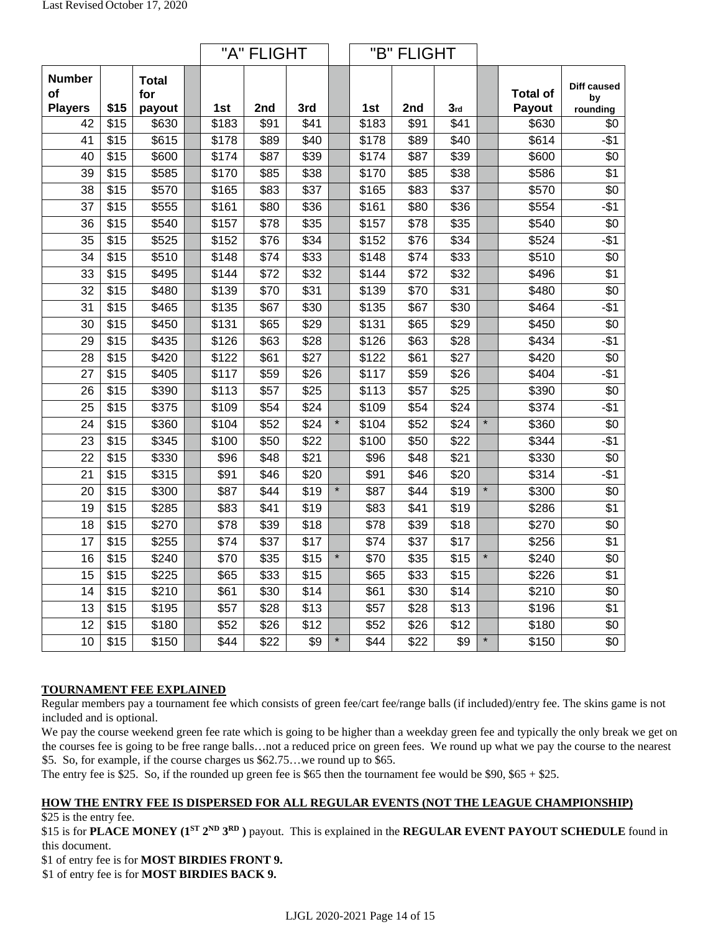|                                       |                  |                        |                    | "A" FLIGHT       |                  |         | "B" FLIGHT        |                  |                  |         |                           |                               |
|---------------------------------------|------------------|------------------------|--------------------|------------------|------------------|---------|-------------------|------------------|------------------|---------|---------------------------|-------------------------------|
| <b>Number</b><br>οf<br><b>Players</b> | \$15             | Total<br>for<br>payout | 1st                | 2nd              | 3rd              |         | 1st               | 2nd              | 3rd              |         | <b>Total of</b><br>Payout | Diff caused<br>by<br>rounding |
| 42                                    | $\overline{$15}$ | \$630                  | \$183              | \$91             | $\overline{$41}$ |         | \$183             | \$91             | $\sqrt{41}$      |         | \$630                     | \$0                           |
| 41                                    | \$15             | \$615                  | \$178              | \$89             | \$40             |         | \$178             | \$89             | \$40             |         | \$614                     | $-$1$                         |
| 40                                    | $\overline{$15}$ | \$600                  | \$174              | \$87             | \$39             |         | \$174             | \$87             | \$39             |         | \$600                     | $\sqrt[6]{}$                  |
| 39                                    | $\sqrt{$15}$     | \$585                  | \$170              | \$85             | \$38             |         | \$170             | \$85             | \$38             |         | \$586                     | $\overline{$1}$               |
| $\overline{38}$                       | $\sqrt{$15}$     | \$570                  | \$165              | $\overline{$83}$ | $\overline{$37}$ |         | \$165             | \$83             | $\overline{$37}$ |         | \$570                     | $\overline{60}$               |
| $\overline{37}$                       | $\sqrt{$15}$     | \$555                  | \$161              | \$80             | \$36             |         | \$161             | \$80             | \$36             |         | \$554                     | $-$ \$1                       |
| 36                                    | \$15             | \$540                  | \$157              | \$78             | \$35             |         | \$157             | \$78             | \$35             |         | \$540                     | \$0                           |
| $\overline{35}$                       | $\overline{$15}$ | \$525                  | \$152              | \$76             | \$34             |         | \$152             | \$76             | \$34             |         | \$524                     | $-$ \$1                       |
| $\overline{34}$                       | $\overline{$15}$ | \$510                  | \$148              | $\sqrt{$74}$     | \$33             |         | \$148             | \$74             | \$33             |         | \$510                     | $\sqrt{6}$                    |
| 33                                    | \$15             | \$495                  | $\overline{\$144}$ | \$72             | \$32             |         | \$144             | \$72             | \$32             |         | \$496                     | $\sqrt{$1}$                   |
| $\overline{32}$                       | \$15             | \$480                  | \$139              | \$70             | \$31             |         | \$139             | \$70             | \$31             |         | \$480                     | $\sqrt{6}$                    |
| 31                                    | \$15             | \$465                  | \$135              | \$67             | \$30             |         | \$135             | \$67             | \$30             |         | \$464                     | $-$ \$1                       |
| 30                                    | \$15             | \$450                  | \$131              | \$65             | \$29             |         | \$131             | \$65             | \$29             |         | \$450                     | \$0                           |
| 29                                    | \$15             | \$435                  | \$126              | \$63             | \$28             |         | \$126             | \$63             | \$28             |         | \$434                     | $-$ \$1                       |
| 28                                    | \$15             | \$420                  | \$122              | \$61             | $\sqrt{$27}$     |         | \$122             | \$61             | $\sqrt{$27}$     |         | \$420                     | $\sqrt{6}$                    |
| 27                                    | \$15             | \$405                  | \$117              | \$59             | $\overline{$26}$ |         | \$117             | \$59             | \$26             |         | \$404                     | $-$ \$1                       |
| 26                                    | $\overline{$15}$ | \$390                  | $\overline{$113}$  | $\overline{$}57$ | \$25             |         | \$113             | $\overline{$57}$ | \$25             |         | \$390                     | $\overline{60}$               |
| 25                                    | $\overline{$15}$ | \$375                  | \$109              | \$54             | \$24             |         | \$109             | \$54             | \$24             |         | \$374                     | $-$ \$1                       |
| 24                                    | $\overline{$15}$ | \$360                  | \$104              | \$52             | \$24             | $\star$ | $\sqrt{$104}$     | \$52             | \$24             | $\star$ | \$360                     | $\overline{60}$               |
| $\overline{23}$                       | $\overline{$15}$ | \$345                  | \$100              | \$50             | $\overline{$22}$ |         | $\overline{$}100$ | \$50             | $\overline{$22}$ |         | \$344                     | $-$ \$1                       |
| 22                                    | $\overline{$15}$ | \$330                  | \$96               | $\overline{$48}$ | \$21             |         | \$96              | \$48             | $\overline{$21}$ |         | \$330                     | $\overline{60}$               |
| $\overline{21}$                       | $\overline{$15}$ | \$315                  | $\overline{$91}$   | \$46             | $\sqrt{$20}$     |         | \$91              | \$46             | \$20             |         | \$314                     | $-$ \$1                       |
| 20                                    | \$15             | \$300                  | \$87               | \$44             | \$19             | $\star$ | \$87              | \$44             | $\sqrt{$19}$     | $\star$ | \$300                     | $\sqrt{6}$                    |
| $\overline{19}$                       | $\overline{$15}$ | \$285                  | \$83               | $\sqrt{$41}$     | $\overline{$19}$ |         | \$83              | $\sqrt{$41}$     | \$19             |         | \$286                     | $\overline{$1}$               |
| 18                                    | $\overline{$15}$ | $\overline{$}270$      | \$78               | \$39             | $\overline{$18}$ |         | $\sqrt{$78}$      | \$39             | $\overline{$18}$ |         | \$270                     | $\overline{60}$               |
| 17                                    | $\overline{$15}$ | \$255                  | \$74               | $\overline{$37}$ | $\overline{$17}$ |         | $\sqrt{$74}$      | $\overline{$37}$ | $\overline{$17}$ |         | \$256                     | \$1                           |
| 16                                    | \$15             | \$240                  | \$70               | \$35             | $\overline{$15}$ | $\star$ | \$70              | \$35             | $\overline{$15}$ | $\star$ | \$240                     | $\sqrt[6]{3}$                 |
| $\overline{15}$                       | $\overline{$15}$ | \$225                  | \$65               | $\overline{$33}$ | $\overline{$15}$ |         | \$65              | \$33             | $\overline{$15}$ |         | \$226                     | $\overline{$1}$               |
| $\overline{14}$                       | $\overline{$15}$ | \$210                  | \$61               | \$30             | $\sqrt{$14}$     |         | \$61              | \$30             | $\sqrt{$14}$     |         | \$210                     | $\overline{60}$               |
| $\overline{13}$                       | $\overline{$15}$ | \$195                  | $\overline{$}57$   | \$28             | $\overline{$13}$ |         | $\overline{$}57$  | \$28             | $\sqrt{$13}$     |         | \$196                     | \$1                           |
| $\overline{12}$                       | \$15             | \$180                  | \$52               | \$26             | $\sqrt{$12}$     |         | \$52              | \$26             | $\sqrt{$12}$     |         | \$180                     | $\sqrt[6]{3}$                 |
| 10 <sup>1</sup>                       | $\overline{$15}$ | \$150                  | \$44               | $\sqrt{$22}$     | $\sqrt[6]{3}$    | $\star$ | \$44              | $\sqrt{$22}$     | $\sqrt[6]{3}$    | $\star$ | \$150                     | $\sqrt[6]{}$                  |

#### **TOURNAMENT FEE EXPLAINED**

Regular members pay a tournament fee which consists of green fee/cart fee/range balls (if included)/entry fee. The skins game is not included and is optional.

We pay the course weekend green fee rate which is going to be higher than a weekday green fee and typically the only break we get on the courses fee is going to be free range balls…not a reduced price on green fees. We round up what we pay the course to the nearest \$5. So, for example, if the course charges us \$62.75…we round up to \$65.

The entry fee is \$25. So, if the rounded up green fee is \$65 then the tournament fee would be \$90, \$65 + \$25.

## **HOW THE ENTRY FEE IS DISPERSED FOR ALL REGULAR EVENTS (NOT THE LEAGUE CHAMPIONSHIP)**

\$25 is the entry fee.

\$15 is for **PLACE MONEY (1ST 2ND 3RD )** payout. This is explained in the **REGULAR EVENT PAYOUT SCHEDULE** found in this document.

\$1 of entry fee is for **MOST BIRDIES FRONT 9.** 

\$1 of entry fee is for **MOST BIRDIES BACK 9.**